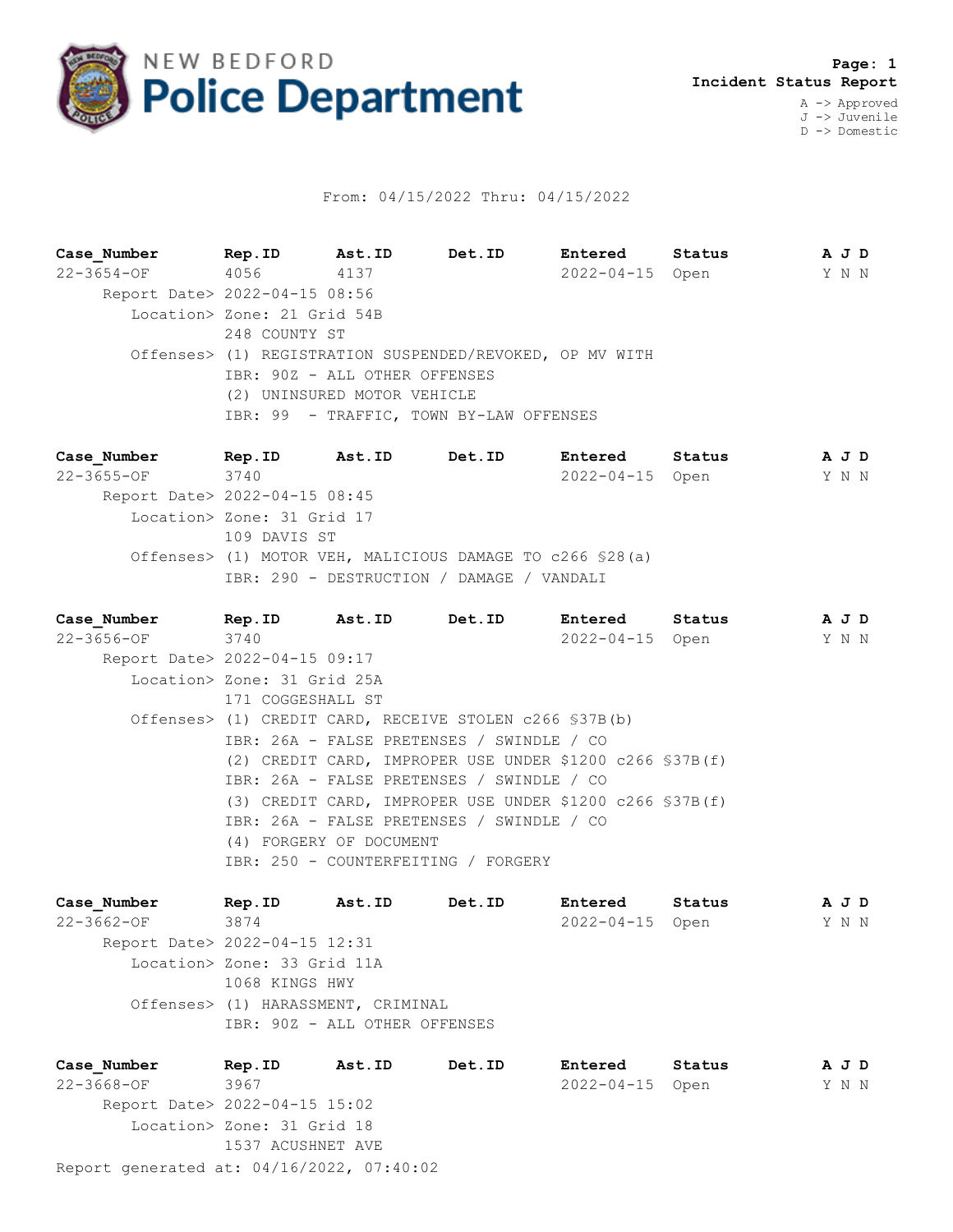

## From: 04/15/2022 Thru: 04/15/2022

**Case\_Number Rep.ID Ast.ID Det.ID Entered Status A J D** 22-3654-OF 4056 4137 2022-04-15 Open Y N N Report Date> 2022-04-15 08:56 Location> Zone: 21 Grid 54B 248 COUNTY ST Offenses> (1) REGISTRATION SUSPENDED/REVOKED, OP MV WITH IBR: 90Z - ALL OTHER OFFENSES (2) UNINSURED MOTOR VEHICLE IBR: 99 - TRAFFIC, TOWN BY-LAW OFFENSES

**Case\_Number Rep.ID Ast.ID Det.ID Entered Status A J D** 22-3655-OF 3740 2022-04-15 Open Y N N Report Date> 2022-04-15 08:45 Location> Zone: 31 Grid 17 109 DAVIS ST Offenses> (1) MOTOR VEH, MALICIOUS DAMAGE TO c266 §28(a) IBR: 290 - DESTRUCTION / DAMAGE / VANDALI

**Case\_Number Rep.ID Ast.ID Det.ID Entered Status A J D** 22-3656-OF 3740 2022-04-15 Open Y N N Report Date> 2022-04-15 09:17 Location> Zone: 31 Grid 25A 171 COGGESHALL ST Offenses> (1) CREDIT CARD, RECEIVE STOLEN c266 §37B(b) IBR: 26A - FALSE PRETENSES / SWINDLE / CO (2) CREDIT CARD, IMPROPER USE UNDER \$1200 c266 §37B(f) IBR: 26A - FALSE PRETENSES / SWINDLE / CO (3) CREDIT CARD, IMPROPER USE UNDER \$1200 c266 §37B(f) IBR: 26A - FALSE PRETENSES / SWINDLE / CO (4) FORGERY OF DOCUMENT IBR: 250 - COUNTERFEITING / FORGERY

**Case\_Number Rep.ID Ast.ID Det.ID Entered Status A J D** 22-3662-OF 3874 2022-04-15 Open Y N N Report Date> 2022-04-15 12:31 Location> Zone: 33 Grid 11A 1068 KINGS HWY Offenses> (1) HARASSMENT, CRIMINAL IBR: 90Z - ALL OTHER OFFENSES

Report generated at: 04/16/2022, 07:40:02 **Case\_Number Rep.ID Ast.ID Det.ID Entered Status A J D** 22-3668-OF 3967 2022-04-15 Open Y N N Report Date> 2022-04-15 15:02 Location> Zone: 31 Grid 18 1537 ACUSHNET AVE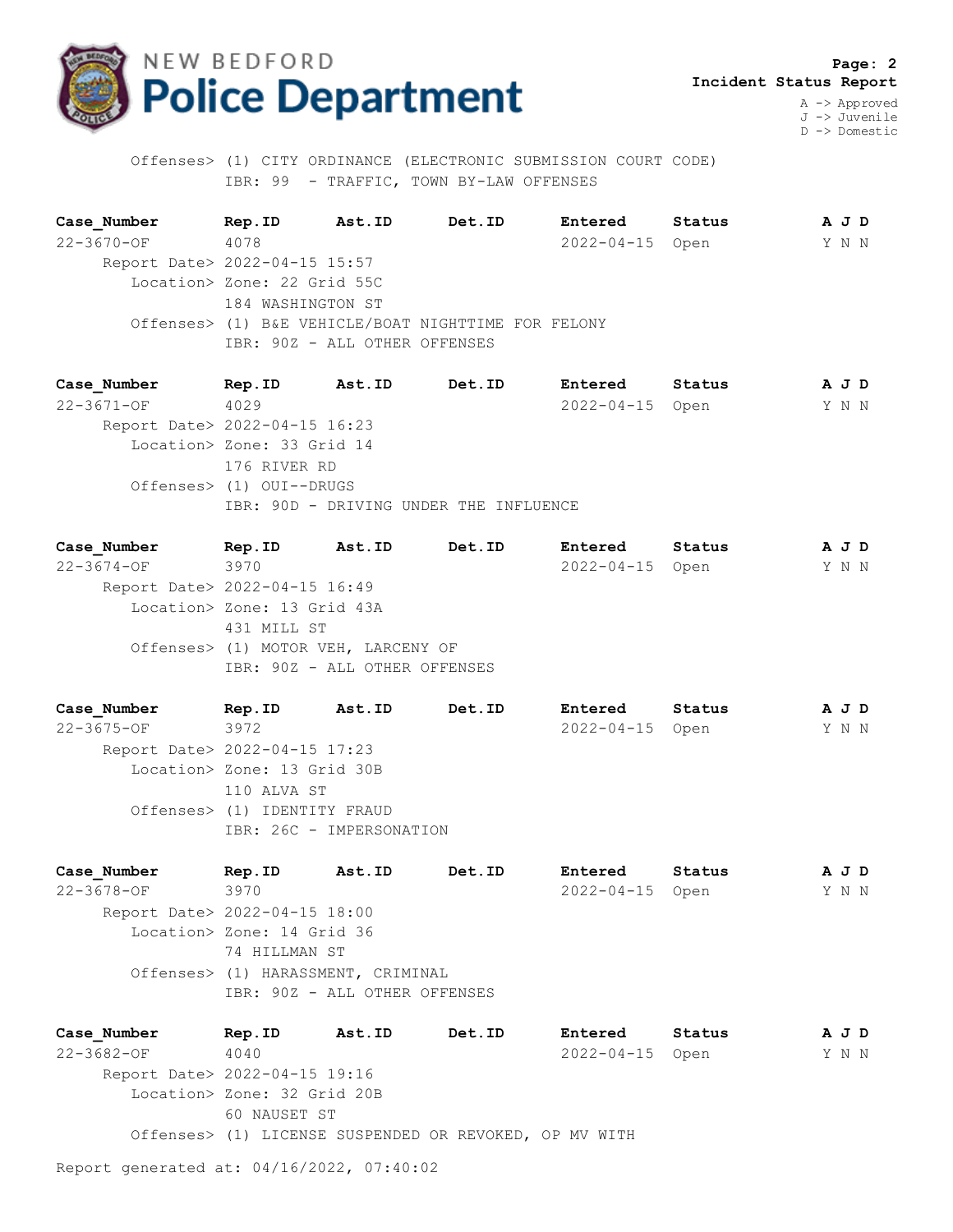

 **Page: 2 Incident Status Report**

A -> Approved J -> Juvenile D -> Domestic

 Offenses> (1) CITY ORDINANCE (ELECTRONIC SUBMISSION COURT CODE) IBR: 99 - TRAFFIC, TOWN BY-LAW OFFENSES

**Case\_Number Rep.ID Ast.ID Det.ID Entered Status A J D** 22-3670-OF 4078 2022-04-15 Open Y N N Report Date> 2022-04-15 15:57 Location> Zone: 22 Grid 55C 184 WASHINGTON ST Offenses> (1) B&E VEHICLE/BOAT NIGHTTIME FOR FELONY IBR: 90Z - ALL OTHER OFFENSES

**Case\_Number Rep.ID Ast.ID Det.ID Entered Status A J D** 22-3671-OF 4029 2022-04-15 Open Y N N Report Date> 2022-04-15 16:23 Location> Zone: 33 Grid 14 176 RIVER RD Offenses> (1) OUI--DRUGS IBR: 90D - DRIVING UNDER THE INFLUENCE

**Case\_Number Rep.ID Ast.ID Det.ID Entered Status A J D** 22-3674-OF 3970 2022-04-15 Open Y N N Report Date> 2022-04-15 16:49 Location> Zone: 13 Grid 43A 431 MILL ST Offenses> (1) MOTOR VEH, LARCENY OF IBR: 90Z - ALL OTHER OFFENSES

**Case\_Number Rep.ID Ast.ID Det.ID Entered Status A J D** 22-3675-OF 3972 2022-04-15 Open Y N N Report Date> 2022-04-15 17:23 Location> Zone: 13 Grid 30B 110 ALVA ST Offenses> (1) IDENTITY FRAUD IBR: 26C - IMPERSONATION

**Case\_Number Rep.ID Ast.ID Det.ID Entered Status A J D** 22-3678-OF 3970 2022-04-15 Open Y N N Report Date> 2022-04-15 18:00 Location> Zone: 14 Grid 36 74 HILLMAN ST Offenses> (1) HARASSMENT, CRIMINAL IBR: 90Z - ALL OTHER OFFENSES

**Case\_Number Rep.ID Ast.ID Det.ID Entered Status A J D** 22-3682-OF 4040 2022-04-15 Open Y N N Report Date> 2022-04-15 19:16 Location> Zone: 32 Grid 20B 60 NAUSET ST Offenses> (1) LICENSE SUSPENDED OR REVOKED, OP MV WITH